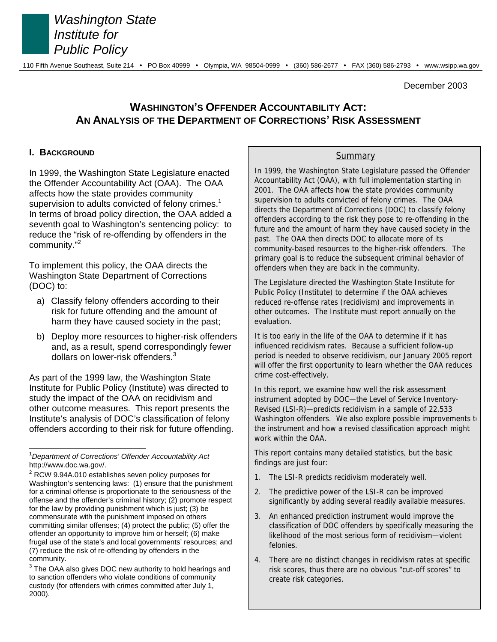

 $\overline{a}$ 

 *Washington State Institute for Public Policy* 

December 2003

# **WASHINGTON'S OFFENDER ACCOUNTABILITY ACT: AN ANALYSIS OF THE DEPARTMENT OF CORRECTIONS' RISK ASSESSMENT**

### **I. BACKGROUND**

In 1999, the Washington State Legislature enacted the Offender Accountability Act (OAA). The OAA affects how the state provides community supervision to adults convicted of felony crimes.<sup>1</sup> In terms of broad policy direction, the OAA added a seventh goal to Washington's sentencing policy: to reduce the "risk of re-offending by offenders in the community."<sup>2</sup>

To implement this policy, the OAA directs the Washington State Department of Corrections (DOC) to:

- a) Classify felony offenders according to their risk for future offending and the amount of harm they have caused society in the past;
- b) Deploy more resources to higher-risk offenders and, as a result, spend correspondingly fewer dollars on lower-risk offenders.<sup>3</sup>

As part of the 1999 law, the Washington State Institute for Public Policy (Institute) was directed to study the impact of the OAA on recidivism and other outcome measures. This report presents the Institute's analysis of DOC's classification of felony offenders according to their risk for future offending.

### **Summary**

In 1999, the Washington State Legislature passed the Offender Accountability Act (OAA), with full implementation starting in 2001. The OAA affects how the state provides community supervision to adults convicted of felony crimes. The OAA directs the Department of Corrections (DOC) to classify felony offenders according to the risk they pose to re-offending in the future and the amount of harm they have caused society in the past. The OAA then directs DOC to allocate more of its community-based resources to the higher-risk offenders. The primary goal is to reduce the subsequent criminal behavior of offenders when they are back in the community.

The Legislature directed the Washington State Institute for Public Policy (Institute) to determine if the OAA achieves reduced re-offense rates (recidivism) and improvements in other outcomes. The Institute must report annually on the evaluation.

It is too early in the life of the OAA to determine if it has influenced recidivism rates. Because a sufficient follow-up period is needed to observe recidivism, our January 2005 report will offer the first opportunity to learn whether the OAA reduces crime cost-effectively.

In this report, we examine how well the risk assessment instrument adopted by DOC—the Level of Service Inventory-Revised (LSI-R)—predicts recidivism in a sample of 22,533 Washington offenders. We also explore possible improvements to the instrument and how a revised classification approach might work within the OAA.

This report contains many detailed statistics, but the basic findings are just four:

- 1. The LSI-R predicts recidivism moderately well.
- 2. The predictive power of the LSI-R can be improved significantly by adding several readily available measures.
- 3. An enhanced prediction instrument would improve the classification of DOC offenders by specifically measuring the likelihood of the most serious form of recidivism—violent felonies.
- 4. There are no distinct changes in recidivism rates at specific risk scores, thus there are no obvious "cut-off scores" to create risk categories.

<sup>1</sup> *Department of Corrections' Offender Accountability Act* http://www.doc.wa.gov/.

 $2$  RCW 9.94A.010 establishes seven policy purposes for Washington's sentencing laws: (1) ensure that the punishment for a criminal offense is proportionate to the seriousness of the offense and the offender's criminal history; (2) promote respect for the law by providing punishment which is just; (3) be commensurate with the punishment imposed on others committing similar offenses; (4) protect the public; (5) offer the offender an opportunity to improve him or herself; (6) make frugal use of the state's and local governments' resources; and (7) reduce the risk of re-offending by offenders in the community.

 $3$  The OAA also gives DOC new authority to hold hearings and to sanction offenders who violate conditions of community custody (for offenders with crimes committed after July 1, 2000).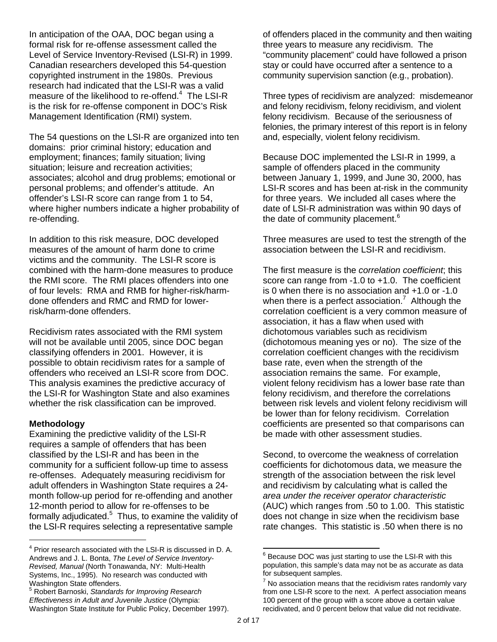In anticipation of the OAA, DOC began using a formal risk for re-offense assessment called the Level of Service Inventory-Revised (LSI-R) in 1999. Canadian researchers developed this 54-question copyrighted instrument in the 1980s. Previous research had indicated that the LSI-R was a valid measure of the likelihood to re-offend. $4$  The LSI-R is the risk for re-offense component in DOC's Risk Management Identification (RMI) system.

The 54 questions on the LSI-R are organized into ten domains: prior criminal history; education and employment; finances; family situation; living situation; leisure and recreation activities; associates; alcohol and drug problems; emotional or personal problems; and offender's attitude. An offender's LSI-R score can range from 1 to 54, where higher numbers indicate a higher probability of re-offending.

In addition to this risk measure, DOC developed measures of the amount of harm done to crime victims and the community. The LSI-R score is combined with the harm-done measures to produce the RMI score. The RMI places offenders into one of four levels: RMA and RMB for higher-risk/harmdone offenders and RMC and RMD for lowerrisk/harm-done offenders.

Recidivism rates associated with the RMI system will not be available until 2005, since DOC began classifying offenders in 2001. However, it is possible to obtain recidivism rates for a sample of offenders who received an LSI-R score from DOC. This analysis examines the predictive accuracy of the LSI-R for Washington State and also examines whether the risk classification can be improved.

### **Methodology**

Examining the predictive validity of the LSI-R requires a sample of offenders that has been classified by the LSI-R and has been in the community for a sufficient follow-up time to assess re-offenses. Adequately measuring recidivism for adult offenders in Washington State requires a 24 month follow-up period for re-offending and another 12-month period to allow for re-offenses to be formally adjudicated.<sup>5</sup> Thus, to examine the validity of the LSI-R requires selecting a representative sample

5 Robert Barnoski, *Standards for Improving Research Effectiveness in Adult and Juvenile Justice* (Olympia: Washington State Institute for Public Policy, December 1997). of offenders placed in the community and then waiting three years to measure any recidivism. The "community placement" could have followed a prison stay or could have occurred after a sentence to a community supervision sanction (e.g., probation).

Three types of recidivism are analyzed: misdemeanor and felony recidivism, felony recidivism, and violent felony recidivism. Because of the seriousness of felonies, the primary interest of this report is in felony and, especially, violent felony recidivism.

Because DOC implemented the LSI-R in 1999, a sample of offenders placed in the community between January 1, 1999, and June 30, 2000, has LSI-R scores and has been at-risk in the community for three years. We included all cases where the date of LSI-R administration was within 90 days of the date of community placement.<sup>6</sup>

Three measures are used to test the strength of the association between the LSI-R and recidivism.

The first measure is the *correlation coefficient*; this score can range from -1.0 to +1.0. The coefficient is 0 when there is no association and +1.0 or -1.0 when there is a perfect association.<sup>7</sup> Although the correlation coefficient is a very common measure of association, it has a flaw when used with dichotomous variables such as recidivism (dichotomous meaning yes or no). The size of the correlation coefficient changes with the recidivism base rate, even when the strength of the association remains the same. For example, violent felony recidivism has a lower base rate than felony recidivism, and therefore the correlations between risk levels and violent felony recidivism will be lower than for felony recidivism. Correlation coefficients are presented so that comparisons can be made with other assessment studies.

Second, to overcome the weakness of correlation coefficients for dichotomous data, we measure the strength of the association between the risk level and recidivism by calculating what is called the *area under the receiver operator characteristic* (AUC) which ranges from .50 to 1.00. This statistic does not change in size when the recidivism base rate changes. This statistic is .50 when there is no

l

<sup>&</sup>lt;sup>4</sup> Prior research associated with the LSI-R is discussed in D. A. Andrews and J. L. Bonta, *The Level of Service Inventory-Revised, Manual* (North Tonawanda, NY: Multi-Health Systems, Inc., 1995). No research was conducted with Washington State offenders.

 $6$  Because DOC was just starting to use the LSI-R with this population, this sample's data may not be as accurate as data for subsequent samples.

 $7$  No association means that the recidivism rates randomly vary from one LSI-R score to the next. A perfect association means 100 percent of the group with a score above a certain value recidivated, and 0 percent below that value did not recidivate.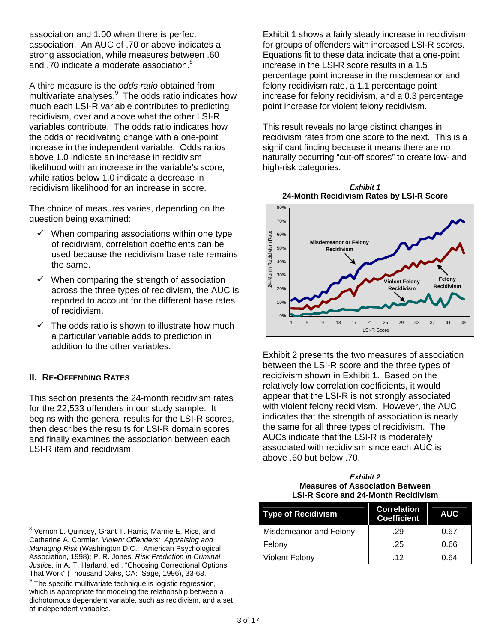association and 1.00 when there is perfect association. An AUC of .70 or above indicates a strong association, while measures between .60 and .70 indicate a moderate association.<sup>8</sup>

A third measure is the *odds ratio* obtained from multivariate analyses.<sup>9</sup> The odds ratio indicates how much each LSI-R variable contributes to predicting recidivism, over and above what the other LSI-R variables contribute. The odds ratio indicates how the odds of recidivating change with a one-point increase in the independent variable. Odds ratios above 1.0 indicate an increase in recidivism likelihood with an increase in the variable's score, while ratios below 1.0 indicate a decrease in recidivism likelihood for an increase in score.

The choice of measures varies, depending on the question being examined:

- $\checkmark$  When comparing associations within one type of recidivism, correlation coefficients can be used because the recidivism base rate remains the same.
- $\checkmark$  When comparing the strength of association across the three types of recidivism, the AUC is reported to account for the different base rates of recidivism.
- $\checkmark$  The odds ratio is shown to illustrate how much a particular variable adds to prediction in addition to the other variables.

## **II. RE-OFFENDING RATES**

This section presents the 24-month recidivism rates for the 22,533 offenders in our study sample. It begins with the general results for the LSI-R scores, then describes the results for LSI-R domain scores, and finally examines the association between each LSI-R item and recidivism.

Exhibit 1 shows a fairly steady increase in recidivism for groups of offenders with increased LSI-R scores. Equations fit to these data indicate that a one-point increase in the LSI-R score results in a 1.5 percentage point increase in the misdemeanor and felony recidivism rate, a 1.1 percentage point increase for felony recidivism, and a 0.3 percentage point increase for violent felony recidivism.

This result reveals no large distinct changes in recidivism rates from one score to the next. This is a significant finding because it means there are no naturally occurring "cut-off scores" to create low- and high-risk categories.





Exhibit 2 presents the two measures of association between the LSI-R score and the three types of recidivism shown in Exhibit 1. Based on the relatively low correlation coefficients, it would appear that the LSI-R is not strongly associated with violent felony recidivism. However, the AUC indicates that the strength of association is nearly the same for all three types of recidivism. The AUCs indicate that the LSI-R is moderately associated with recidivism since each AUC is above .60 but below .70.

#### *Exhibit 2*  **Measures of Association Between LSI-R Score and 24-Month Recidivism**

| <b>Type of Recidivism</b> | <b>Correlation</b><br><b>Coefficient</b> | <b>AUC</b> |
|---------------------------|------------------------------------------|------------|
| Misdemeanor and Felony    | .29                                      | 0.67       |
| Felony                    | .25                                      | 0.66       |
| <b>Violent Felony</b>     | 12                                       | 0.64       |

werd Cornon L. Quinsey, Grant T. Harris, Marnie E. Rice, and Sternon L. Quinsey, Grant T. Harris, Marnie E. Rice, and Catherine A. Cormier, *Violent Offenders: Appraising and Managing Risk* (Washington D.C.: American Psychological Association, 1998); P. R. Jones, *Risk Prediction in Criminal Justice,* in A. T. Harland, ed., "Choosing Correctional Options That Work" (Thousand Oaks, CA: Sage, 1996), 33-68.

<sup>&</sup>lt;sup>9</sup> The specific multivariate technique is logistic regression, which is appropriate for modeling the relationship between a dichotomous dependent variable, such as recidivism, and a set of independent variables.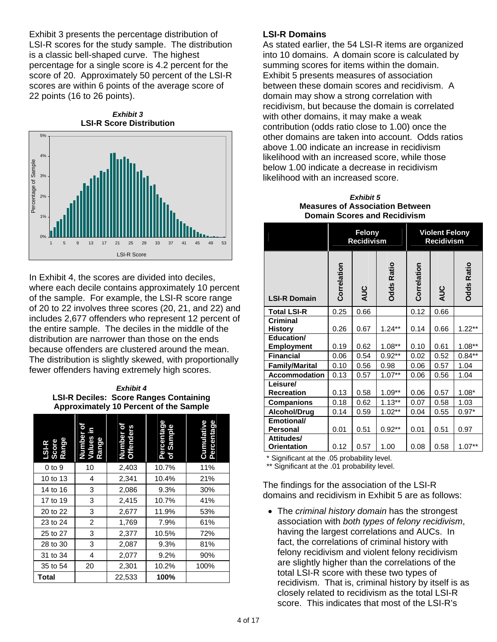Exhibit 3 presents the percentage distribution of LSI-R scores for the study sample. The distribution is a classic bell-shaped curve. The highest percentage for a single score is 4.2 percent for the score of 20. Approximately 50 percent of the LSI-R scores are within 6 points of the average score of 22 points (16 to 26 points).

*Exhibit 3*  **LSI-R Score Distribution** 



In Exhibit 4, the scores are divided into deciles, where each decile contains approximately 10 percent of the sample. For example, the LSI-R score range of 20 to 22 involves three scores (20, 21, and 22) and includes 2,677 offenders who represent 12 percent of the entire sample. The deciles in the middle of the distribution are narrower than those on the ends because offenders are clustered around the mean. The distribution is slightly skewed, with proportionally fewer offenders having extremely high scores.

*Exhibit 4*  **LSI-R Deciles: Score Ranges Containing Approximately 10 Percent of the Sample** 

| LSI-R<br>Score<br>Range | ō<br>Values ir<br>Number<br>Range | ō<br>Number of<br>Offenders | Percentage<br>of Sample | Percentage<br>Cumulative |
|-------------------------|-----------------------------------|-----------------------------|-------------------------|--------------------------|
| $0$ to $9$              | 10                                | 2,403                       | 10.7%                   | 11%                      |
| 10 to 13                | 4                                 | 2,341                       | 10.4%                   | 21%                      |
| 14 to 16                | 3                                 | 2,086                       | 9.3%                    | 30%                      |
| 17 to 19                | 3                                 | 2,415                       | 10.7%                   | 41%                      |
| 20 to 22                | 3                                 | 2,677                       | 11.9%                   | 53%                      |
| 23 to 24                | 2                                 | 1,769                       | 7.9%                    | 61%                      |
| 25 to 27                | 3                                 | 2,377                       | 10.5%                   | 72%                      |
| 28 to 30                | 3                                 | 2,087                       | 9.3%                    | 81%                      |
| 31 to 34                | 4                                 | 2,077                       | 9.2%                    | 90%                      |
| 35 to 54                | 20                                | 2,301                       | 10.2%                   | 100%                     |
| Total                   |                                   | 22,533                      | 100%                    |                          |

### **LSI-R Domains**

As stated earlier, the 54 LSI-R items are organized into 10 domains. A domain score is calculated by summing scores for items within the domain. Exhibit 5 presents measures of association between these domain scores and recidivism. A domain may show a strong correlation with recidivism, but because the domain is correlated with other domains, it may make a weak contribution (odds ratio close to 1.00) once the other domains are taken into account. Odds ratios above 1.00 indicate an increase in recidivism likelihood with an increased score, while those below 1.00 indicate a decrease in recidivism likelihood with an increased score.

*Exhibit 5*  **Measures of Association Between Domain Scores and Recidivism** 

|                                   | <b>Felony</b><br><b>Recidivism</b> |      |                   |             | <b>Violent Felony</b><br><b>Recidivism</b> |                   |
|-----------------------------------|------------------------------------|------|-------------------|-------------|--------------------------------------------|-------------------|
| <b>LSI-R Domain</b>               | Correlation                        | AUC  | <b>Odds Ratio</b> | Correlation | AUC                                        | <b>Ddds Ratio</b> |
| <b>Total LSI-R</b>                | 0.25                               | 0.66 |                   | 0.12        | 0.66                                       |                   |
| <b>Criminal</b><br><b>History</b> | 0.26                               | 0.67 | $1.24**$          | 0.14        | 0.66                                       | $1.22**$          |
| Education/<br><b>Employment</b>   | 0.19                               | 0.62 | $1.08**$          | 0.10        | 0.61                                       | $1.08**$          |
| <b>Financial</b>                  | 0.06                               | 0.54 | $0.92**$          | 0.02        | 0.52                                       | $0.84**$          |
| <b>Family/Marital</b>             | 0.10                               | 0.56 | 0.98              | 0.06        | 0.57                                       | 1.04              |
| Accommodation                     | 0.13                               | 0.57 | $1.07**$          | 0.06        | 0.56                                       | 1.04              |
| Leisure/<br><b>Recreation</b>     | 0.13                               | 0.58 | $1.09**$          | 0.06        | 0.57                                       | $1.08*$           |
| <b>Companions</b>                 | 0.18                               | 0.62 | $1.13***$         | 0.07        | 0.58                                       | 1.03              |
| <b>Alcohol/Drug</b>               | 0.14                               | 0.59 | $1.02**$          | 0.04        | 0.55                                       | $0.97*$           |
| Emotional/<br><b>Personal</b>     | 0.01                               | 0.51 | $0.92**$          | 0.01        | 0.51                                       | 0.97              |
| Attitudes/<br><b>Orientation</b>  | 0.12                               | 0.57 | 1.00              | 0.08        | 0.58                                       | $1.07**$          |

\* Significant at the .05 probability level.

\*\* Significant at the .01 probability level.

The findings for the association of the LSI-R domains and recidivism in Exhibit 5 are as follows:

• The *criminal history domain* has the strongest association with *both types of felony recidivism*, having the largest correlations and AUCs. In fact, the correlations of criminal history with felony recidivism and violent felony recidivism are slightly higher than the correlations of the total LSI-R score with these two types of recidivism. That is, criminal history by itself is as closely related to recidivism as the total LSI-R score. This indicates that most of the LSI-R's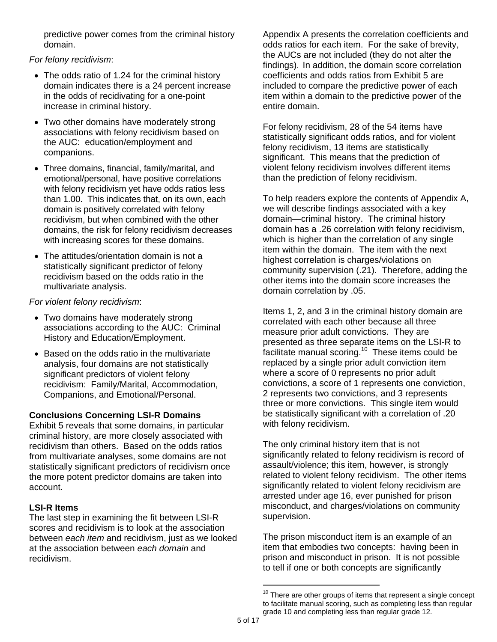predictive power comes from the criminal history domain.

*For felony recidivism*:

- The odds ratio of 1.24 for the criminal history domain indicates there is a 24 percent increase in the odds of recidivating for a one-point increase in criminal history.
- Two other domains have moderately strong associations with felony recidivism based on the AUC: education/employment and companions.
- Three domains, financial, family/marital, and emotional/personal, have positive correlations with felony recidivism yet have odds ratios less than 1.00. This indicates that, on its own, each domain is positively correlated with felony recidivism, but when combined with the other domains, the risk for felony recidivism decreases with increasing scores for these domains.
- The attitudes/orientation domain is not a statistically significant predictor of felony recidivism based on the odds ratio in the multivariate analysis.

### *For violent felony recidivism*:

- Two domains have moderately strong associations according to the AUC: Criminal History and Education/Employment.
- Based on the odds ratio in the multivariate analysis, four domains are not statistically significant predictors of violent felony recidivism: Family/Marital, Accommodation, Companions, and Emotional/Personal.

## **Conclusions Concerning LSI-R Domains**

Exhibit 5 reveals that some domains, in particular criminal history, are more closely associated with recidivism than others. Based on the odds ratios from multivariate analyses, some domains are not statistically significant predictors of recidivism once the more potent predictor domains are taken into account.

## **LSI-R Items**

The last step in examining the fit between LSI-R scores and recidivism is to look at the association between *each item* and recidivism, just as we looked at the association between *each domain* and recidivism.

Appendix A presents the correlation coefficients and odds ratios for each item. For the sake of brevity, the AUCs are not included (they do not alter the findings). In addition, the domain score correlation coefficients and odds ratios from Exhibit 5 are included to compare the predictive power of each item within a domain to the predictive power of the entire domain.

For felony recidivism, 28 of the 54 items have statistically significant odds ratios, and for violent felony recidivism, 13 items are statistically significant. This means that the prediction of violent felony recidivism involves different items than the prediction of felony recidivism.

To help readers explore the contents of Appendix A, we will describe findings associated with a key domain—criminal history. The criminal history domain has a .26 correlation with felony recidivism, which is higher than the correlation of any single item within the domain. The item with the next highest correlation is charges/violations on community supervision (.21). Therefore, adding the other items into the domain score increases the domain correlation by .05.

Items 1, 2, and 3 in the criminal history domain are correlated with each other because all three measure prior adult convictions. They are presented as three separate items on the LSI-R to facilitate manual scoring.<sup>10</sup> These items could be replaced by a single prior adult conviction item where a score of 0 represents no prior adult convictions, a score of 1 represents one conviction, 2 represents two convictions, and 3 represents three or more convictions. This single item would be statistically significant with a correlation of .20 with felony recidivism.

The only criminal history item that is not significantly related to felony recidivism is record of assault/violence; this item, however, is strongly related to violent felony recidivism. The other items significantly related to violent felony recidivism are arrested under age 16, ever punished for prison misconduct, and charges/violations on community supervision.

The prison misconduct item is an example of an item that embodies two concepts: having been in prison and misconduct in prison. It is not possible to tell if one or both concepts are significantly

 $\overline{a}$ 

 $10$  There are other groups of items that represent a single concept to facilitate manual scoring, such as completing less than regular grade 10 and completing less than regular grade 12.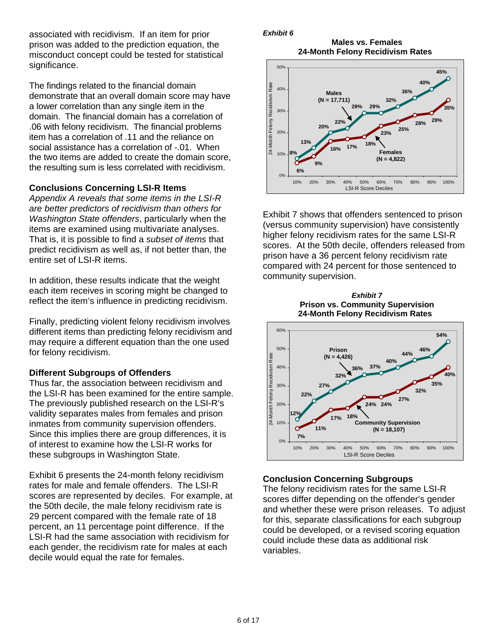associated with recidivism. If an item for prior prison was added to the prediction equation, the misconduct concept could be tested for statistical significance.

The findings related to the financial domain demonstrate that an overall domain score may have a lower correlation than any single item in the domain. The financial domain has a correlation of .06 with felony recidivism. The financial problems item has a correlation of .11 and the reliance on social assistance has a correlation of -.01. When the two items are added to create the domain score, the resulting sum is less correlated with recidivism.

#### **Conclusions Concerning LSI-R Items**

*Appendix A reveals that some items in the LSI-R are better predictors of recidivism than others for Washington State offenders*, particularly when the items are examined using multivariate analyses. That is, it is possible to find a *subset of items* that predict recidivism as well as, if not better than, the entire set of LSI-R items.

In addition, these results indicate that the weight each item receives in scoring might be changed to reflect the item's influence in predicting recidivism.

Finally, predicting violent felony recidivism involves different items than predicting felony recidivism and may require a different equation than the one used for felony recidivism.

#### **Different Subgroups of Offenders**

Thus far, the association between recidivism and the LSI-R has been examined for the entire sample. The previously published research on the LSI-R's validity separates males from females and prison inmates from community supervision offenders. Since this implies there are group differences, it is of interest to examine how the LSI-R works for these subgroups in Washington State.

Exhibit 6 presents the 24-month felony recidivism rates for male and female offenders. The LSI-R scores are represented by deciles. For example, at the 50th decile, the male felony recidivism rate is 29 percent compared with the female rate of 18 percent, an 11 percentage point difference. If the LSI-R had the same association with recidivism for each gender, the recidivism rate for males at each decile would equal the rate for females.

*Exhibit 6* 

**Males vs. Females 24-Month Felony Recidivism Rates** 



Exhibit 7 shows that offenders sentenced to prison (versus community supervision) have consistently higher felony recidivism rates for the same LSI-R scores. At the 50th decile, offenders released from prison have a 36 percent felony recidivism rate compared with 24 percent for those sentenced to community supervision.





#### **Conclusion Concerning Subgroups**

The felony recidivism rates for the same LSI-R scores differ depending on the offender's gender and whether these were prison releases. To adjust for this, separate classifications for each subgroup could be developed, or a revised scoring equation could include these data as additional risk variables.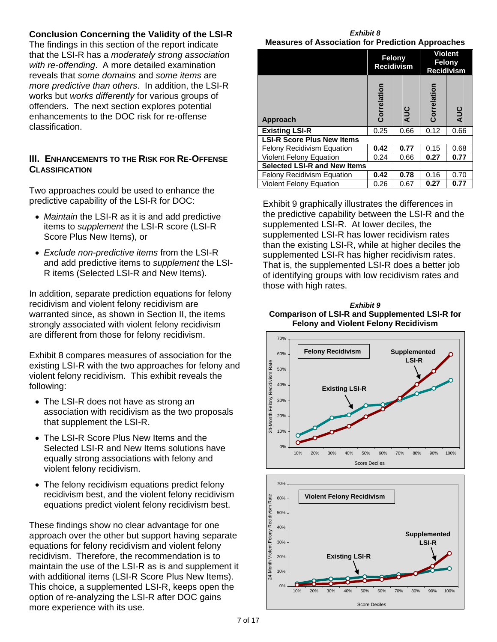## **Conclusion Concerning the Validity of the LSI-R**

The findings in this section of the report indicate that the LSI-R has a *moderately strong association with re-offending*. A more detailed examination reveals that *some domains* and *some items* are *more predictive than others*. In addition, the LSI-R works but *works differently* for various groups of offenders. The next section explores potential enhancements to the DOC risk for re-offense classification.

### **III. ENHANCEMENTS TO THE RISK FOR RE-OFFENSE CLASSIFICATION**

Two approaches could be used to enhance the predictive capability of the LSI-R for DOC:

- *Maintain* the LSI-R as it is and add predictive items to *supplement* the LSI-R score (LSI-R Score Plus New Items), or
- *Exclude non-predictive items* from the LSI-R and add predictive items to *supplement* the LSI-R items (Selected LSI-R and New Items).

In addition, separate prediction equations for felony recidivism and violent felony recidivism are warranted since, as shown in Section II, the items strongly associated with violent felony recidivism are different from those for felony recidivism.

Exhibit 8 compares measures of association for the existing LSI-R with the two approaches for felony and violent felony recidivism. This exhibit reveals the following:

- The LSI-R does not have as strong an association with recidivism as the two proposals that supplement the LSI-R.
- The LSI-R Score Plus New Items and the Selected LSI-R and New Items solutions have equally strong associations with felony and violent felony recidivism.
- The felony recidivism equations predict felony recidivism best, and the violent felony recidivism equations predict violent felony recidivism best.

These findings show no clear advantage for one approach over the other but support having separate equations for felony recidivism and violent felony recidivism. Therefore, the recommendation is to maintain the use of the LSI-R as is and supplement it with additional items (LSI-R Score Plus New Items). This choice, a supplemented LSI-R, keeps open the option of re-analyzing the LSI-R after DOC gains more experience with its use.

*Exhibit 8*  **Measures of Association for Prediction Approaches** 

|                                     | Felony<br><b>Recidivism</b><br>Correlation<br>AUC |      | <b>Violent</b><br>Felony<br><b>Recidivism</b> |      |  |
|-------------------------------------|---------------------------------------------------|------|-----------------------------------------------|------|--|
| <b>Approach</b>                     |                                                   |      | Correlation                                   | AUC  |  |
| <b>Existing LSI-R</b>               | 0.25                                              | 0.66 | 0.12                                          | 0.66 |  |
| <b>LSI-R Score Plus New Items</b>   |                                                   |      |                                               |      |  |
| <b>Felony Recidivism Equation</b>   | 0.42                                              | 0.77 | 0.15                                          | 0.68 |  |
| <b>Violent Felony Equation</b>      | 0.24                                              | 0.66 | 0.27                                          | 0.77 |  |
| <b>Selected LSI-R and New Items</b> |                                                   |      |                                               |      |  |
| <b>Felony Recidivism Equation</b>   | 0.42                                              | 0.78 | 0.16                                          | 0.70 |  |
| <b>Violent Felony Equation</b>      | 0.26                                              | 0.67 | 0.27                                          | 0.77 |  |

Exhibit 9 graphically illustrates the differences in the predictive capability between the LSI-R and the supplemented LSI-R. At lower deciles, the supplemented LSI-R has lower recidivism rates than the existing LSI-R, while at higher deciles the supplemented LSI-R has higher recidivism rates. That is, the supplemented LSI-R does a better job of identifying groups with low recidivism rates and those with high rates.

*Exhibit 9*  **Comparison of LSI-R and Supplemented LSI-R for Felony and Violent Felony Recidivism** 



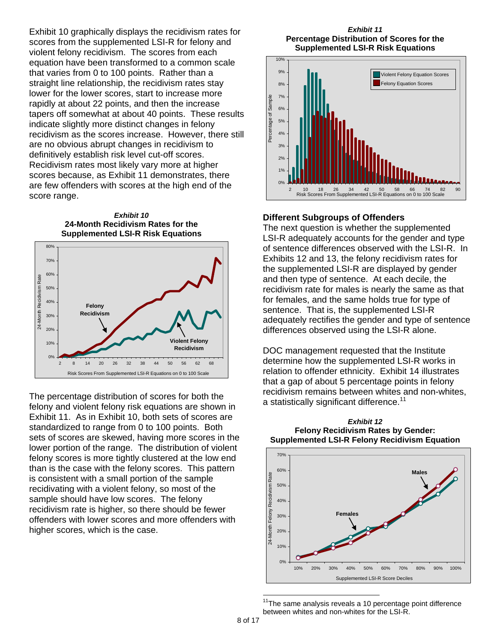Exhibit 10 graphically displays the recidivism rates for scores from the supplemented LSI-R for felony and violent felony recidivism. The scores from each equation have been transformed to a common scale that varies from 0 to 100 points. Rather than a straight line relationship, the recidivism rates stay lower for the lower scores, start to increase more rapidly at about 22 points, and then the increase tapers off somewhat at about 40 points. These results indicate slightly more distinct changes in felony recidivism as the scores increase. However, there still are no obvious abrupt changes in recidivism to definitively establish risk level cut-off scores. Recidivism rates most likely vary more at higher scores because, as Exhibit 11 demonstrates, there are few offenders with scores at the high end of the score range.

*Exhibit 10*  **24-Month Recidivism Rates for the Supplemented LSI-R Risk Equations** 



The percentage distribution of scores for both the felony and violent felony risk equations are shown in Exhibit 11. As in Exhibit 10, both sets of scores are standardized to range from 0 to 100 points. Both sets of scores are skewed, having more scores in the lower portion of the range. The distribution of violent felony scores is more tightly clustered at the low end than is the case with the felony scores. This pattern is consistent with a small portion of the sample recidivating with a violent felony, so most of the sample should have low scores. The felony recidivism rate is higher, so there should be fewer offenders with lower scores and more offenders with higher scores, which is the case.

#### *Exhibit 11*  **Percentage Distribution of Scores for the Supplemented LSI-R Risk Equations**



### **Different Subgroups of Offenders**

The next question is whether the supplemented LSI-R adequately accounts for the gender and type of sentence differences observed with the LSI-R. In Exhibits 12 and 13, the felony recidivism rates for the supplemented LSI-R are displayed by gender and then type of sentence. At each decile, the recidivism rate for males is nearly the same as that for females, and the same holds true for type of sentence. That is, the supplemented LSI-R adequately rectifies the gender and type of sentence differences observed using the LSI-R alone.

DOC management requested that the Institute determine how the supplemented LSI-R works in relation to offender ethnicity. Exhibit 14 illustrates that a gap of about 5 percentage points in felony recidivism remains between whites and non-whites, a statistically significant difference.<sup>11</sup>



*Exhibit 12*  **Felony Recidivism Rates by Gender: Supplemented LSI-R Felony Recidivism Equation** 

 $\overline{a}$ 

 $11$ The same analysis reveals a 10 percentage point difference between whites and non-whites for the LSI-R.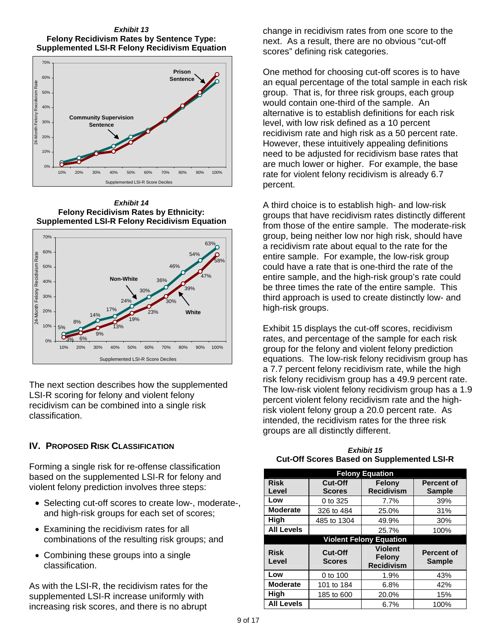#### *Exhibit 13*  **Felony Recidivism Rates by Sentence Type: Supplemented LSI-R Felony Recidivism Equation**



*Exhibit 14*  **Felony Recidivism Rates by Ethnicity: Supplemented LSI-R Felony Recidivism Equation**



The next section describes how the supplemented LSI-R scoring for felony and violent felony recidivism can be combined into a single risk classification.

## **IV. PROPOSED RISK CLASSIFICATION**

Forming a single risk for re-offense classification based on the supplemented LSI-R for felony and violent felony prediction involves three steps:

- Selecting cut-off scores to create low-, moderate-, and high-risk groups for each set of scores;
- Examining the recidivism rates for all combinations of the resulting risk groups; and
- Combining these groups into a single classification.

As with the LSI-R, the recidivism rates for the supplemented LSI-R increase uniformly with increasing risk scores, and there is no abrupt

change in recidivism rates from one score to the next. As a result, there are no obvious "cut-off scores" defining risk categories.

One method for choosing cut-off scores is to have an equal percentage of the total sample in each risk group. That is, for three risk groups, each group would contain one-third of the sample. An alternative is to establish definitions for each risk level, with low risk defined as a 10 percent recidivism rate and high risk as a 50 percent rate. However, these intuitively appealing definitions need to be adjusted for recidivism base rates that are much lower or higher. For example, the base rate for violent felony recidivism is already 6.7 percent.

A third choice is to establish high- and low-risk groups that have recidivism rates distinctly different from those of the entire sample. The moderate-risk group, being neither low nor high risk, should have a recidivism rate about equal to the rate for the entire sample. For example, the low-risk group could have a rate that is one-third the rate of the entire sample, and the high-risk group's rate could be three times the rate of the entire sample. This third approach is used to create distinctly low- and high-risk groups.

Exhibit 15 displays the cut-off scores, recidivism rates, and percentage of the sample for each risk group for the felony and violent felony prediction equations. The low-risk felony recidivism group has a 7.7 percent felony recidivism rate, while the high risk felony recidivism group has a 49.9 percent rate. The low-risk violent felony recidivism group has a 1.9 percent violent felony recidivism rate and the highrisk violent felony group a 20.0 percent rate. As intended, the recidivism rates for the three risk groups are all distinctly different.

| <b>Felony Equation</b> |                          |                                               |                                    |  |  |  |
|------------------------|--------------------------|-----------------------------------------------|------------------------------------|--|--|--|
| <b>Risk</b>            | Cut-Off                  | Felony                                        | <b>Percent of</b>                  |  |  |  |
| Level                  | <b>Scores</b>            | <b>Recidivism</b>                             | <b>Sample</b>                      |  |  |  |
| Low                    | 0 to 325                 | 7.7%                                          | 39%                                |  |  |  |
| <b>Moderate</b>        | 326 to 484               | 25.0%                                         | 31%                                |  |  |  |
| High                   | 485 to 1304              | 49.9%                                         | 30%                                |  |  |  |
| <b>All Levels</b>      |                          | 25.7%                                         | 100%                               |  |  |  |
|                        |                          | <b>Violent Felony Equation</b>                |                                    |  |  |  |
| <b>Risk</b><br>Level   | Cut-Off<br><b>Scores</b> | <b>Violent</b><br>Felony<br><b>Recidivism</b> | <b>Percent of</b><br><b>Sample</b> |  |  |  |
| Low                    | 0 to 100                 | 1.9%                                          | 43%                                |  |  |  |
| <b>Moderate</b>        | 101 to 184               | 6.8%                                          | 42%                                |  |  |  |
| High                   | 185 to 600               | 20.0%                                         | 15%                                |  |  |  |
| <b>All Levels</b>      |                          | 6.7%                                          | 100%                               |  |  |  |

*Exhibit 15*  **Cut-Off Scores Based on Supplemented LSI-R**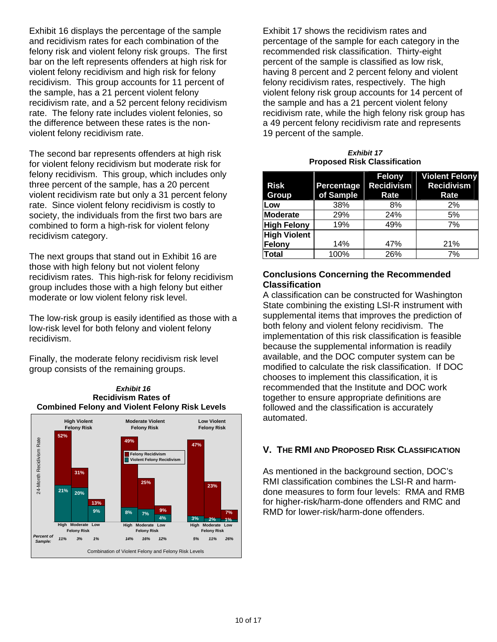Exhibit 16 displays the percentage of the sample and recidivism rates for each combination of the felony risk and violent felony risk groups. The first bar on the left represents offenders at high risk for violent felony recidivism and high risk for felony recidivism. This group accounts for 11 percent of the sample, has a 21 percent violent felony recidivism rate, and a 52 percent felony recidivism rate. The felony rate includes violent felonies, so the difference between these rates is the nonviolent felony recidivism rate.

The second bar represents offenders at high risk for violent felony recidivism but moderate risk for felony recidivism. This group, which includes only three percent of the sample, has a 20 percent violent recidivism rate but only a 31 percent felony rate. Since violent felony recidivism is costly to society, the individuals from the first two bars are combined to form a high-risk for violent felony recidivism category.

The next groups that stand out in Exhibit 16 are those with high felony but not violent felony recidivism rates. This high-risk for felony recidivism group includes those with a high felony but either moderate or low violent felony risk level.

The low-risk group is easily identified as those with a low-risk level for both felony and violent felony recidivism.

Finally, the moderate felony recidivism risk level group consists of the remaining groups.





Exhibit 17 shows the recidivism rates and percentage of the sample for each category in the recommended risk classification. Thirty-eight percent of the sample is classified as low risk, having 8 percent and 2 percent felony and violent felony recidivism rates, respectively. The high violent felony risk group accounts for 14 percent of the sample and has a 21 percent violent felony recidivism rate, while the high felony risk group has a 49 percent felony recidivism rate and represents 19 percent of the sample.

*Exhibit 17*  **Proposed Risk Classification** 

|                     |            | Felony            | <b>Violent Felony</b> |
|---------------------|------------|-------------------|-----------------------|
| <b>Risk</b>         | Percentage | <b>Recidivism</b> | <b>Recidivism</b>     |
| Group               | of Sample  | Rate              | Rate                  |
| Low                 | 38%        | 8%                | 2%                    |
| Moderate            | 29%        | 24%               | 5%                    |
| <b>High Felony</b>  | 19%        | 49%               | 7%                    |
| <b>High Violent</b> |            |                   |                       |
| Felony              | 14%        | 47%               | 21%                   |
| <b>Total</b>        | 100%       | 26%               | 7%                    |

#### **Conclusions Concerning the Recommended Classification**

A classification can be constructed for Washington State combining the existing LSI-R instrument with supplemental items that improves the prediction of both felony and violent felony recidivism. The implementation of this risk classification is feasible because the supplemental information is readily available, and the DOC computer system can be modified to calculate the risk classification. If DOC chooses to implement this classification, it is recommended that the Institute and DOC work together to ensure appropriate definitions are followed and the classification is accurately automated.

## **V. THE RMI AND PROPOSED RISK CLASSIFICATION**

As mentioned in the background section, DOC's RMI classification combines the LSI-R and harmdone measures to form four levels: RMA and RMB for higher-risk/harm-done offenders and RMC and **7%** RMD for lower-risk/harm-done offenders.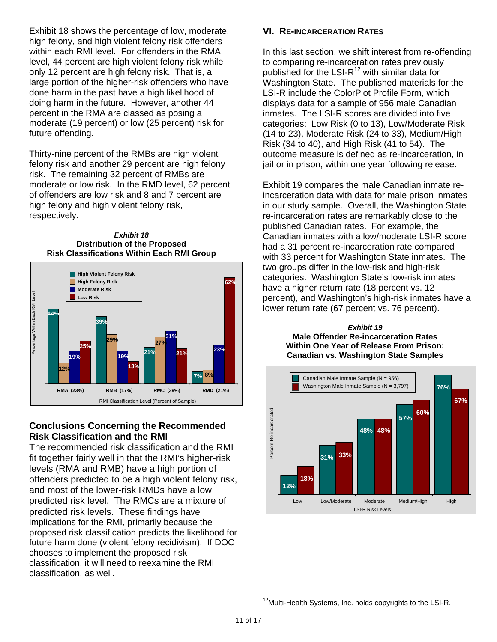Exhibit 18 shows the percentage of low, moderate, high felony, and high violent felony risk offenders within each RMI level. For offenders in the RMA level, 44 percent are high violent felony risk while only 12 percent are high felony risk. That is, a large portion of the higher-risk offenders who have done harm in the past have a high likelihood of doing harm in the future. However, another 44 percent in the RMA are classed as posing a moderate (19 percent) or low (25 percent) risk for future offending.

Thirty-nine percent of the RMBs are high violent felony risk and another 29 percent are high felony risk. The remaining 32 percent of RMBs are moderate or low risk. In the RMD level, 62 percent of offenders are low risk and 8 and 7 percent are high felony and high violent felony risk, respectively.





## **Conclusions Concerning the Recommended Risk Classification and the RMI**

The recommended risk classification and the RMI fit together fairly well in that the RMI's higher-risk levels (RMA and RMB) have a high portion of offenders predicted to be a high violent felony risk, and most of the lower-risk RMDs have a low predicted risk level. The RMCs are a mixture of predicted risk levels. These findings have implications for the RMI, primarily because the proposed risk classification predicts the likelihood for future harm done (violent felony recidivism). If DOC chooses to implement the proposed risk classification, it will need to reexamine the RMI classification, as well.

#### **VI. RE-INCARCERATION RATES**

In this last section, we shift interest from re-offending to comparing re-incarceration rates previously published for the LSI- $R^{12}$  with similar data for Washington State. The published materials for the LSI-R include the ColorPlot Profile Form, which displays data for a sample of 956 male Canadian inmates. The LSI-R scores are divided into five categories: Low Risk (0 to 13), Low/Moderate Risk (14 to 23), Moderate Risk (24 to 33), Medium/High Risk (34 to 40), and High Risk (41 to 54). The outcome measure is defined as re-incarceration, in jail or in prison, within one year following release.

Exhibit 19 compares the male Canadian inmate reincarceration data with data for male prison inmates in our study sample. Overall, the Washington State re-incarceration rates are remarkably close to the published Canadian rates. For example, the Canadian inmates with a low/moderate LSI-R score had a 31 percent re-incarceration rate compared with 33 percent for Washington State inmates. The two groups differ in the low-risk and high-risk categories. Washington State's low-risk inmates have a higher return rate (18 percent vs. 12 percent), and Washington's high-risk inmates have a lower return rate (67 percent vs. 76 percent).

*Exhibit 19*  **Male Offender Re-incarceration Rates Within One Year of Release From Prison: Canadian vs. Washington State Samples** 



 $12$ Multi-Health Systems, Inc. holds copyrights to the LSI-R.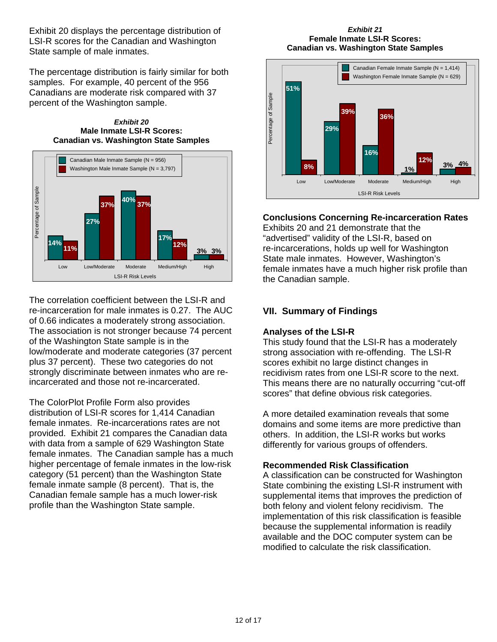Exhibit 20 displays the percentage distribution of LSI-R scores for the Canadian and Washington State sample of male inmates.

The percentage distribution is fairly similar for both samples. For example, 40 percent of the 956 Canadians are moderate risk compared with 37 percent of the Washington sample.





The correlation coefficient between the LSI-R and re-incarceration for male inmates is 0.27. The AUC of 0.66 indicates a moderately strong association. The association is not stronger because 74 percent of the Washington State sample is in the low/moderate and moderate categories (37 percent plus 37 percent). These two categories do not strongly discriminate between inmates who are reincarcerated and those not re-incarcerated.

The ColorPlot Profile Form also provides distribution of LSI-R scores for 1,414 Canadian female inmates. Re-incarcerations rates are not provided. Exhibit 21 compares the Canadian data with data from a sample of 629 Washington State female inmates. The Canadian sample has a much higher percentage of female inmates in the low-risk category (51 percent) than the Washington State female inmate sample (8 percent). That is, the Canadian female sample has a much lower-risk profile than the Washington State sample.

#### *Exhibit 21*  **Female Inmate LSI-R Scores: Canadian vs. Washington State Samples**



### **Conclusions Concerning Re-incarceration Rates**

Exhibits 20 and 21 demonstrate that the "advertised" validity of the LSI-R, based on re-incarcerations, holds up well for Washington State male inmates. However, Washington's female inmates have a much higher risk profile than the Canadian sample.

## **VII. Summary of Findings**

#### **Analyses of the LSI-R**

This study found that the LSI-R has a moderately strong association with re-offending. The LSI-R scores exhibit no large distinct changes in recidivism rates from one LSI-R score to the next. This means there are no naturally occurring "cut-off scores" that define obvious risk categories.

A more detailed examination reveals that some domains and some items are more predictive than others. In addition, the LSI-R works but works differently for various groups of offenders.

#### **Recommended Risk Classification**

A classification can be constructed for Washington State combining the existing LSI-R instrument with supplemental items that improves the prediction of both felony and violent felony recidivism. The implementation of this risk classification is feasible because the supplemental information is readily available and the DOC computer system can be modified to calculate the risk classification.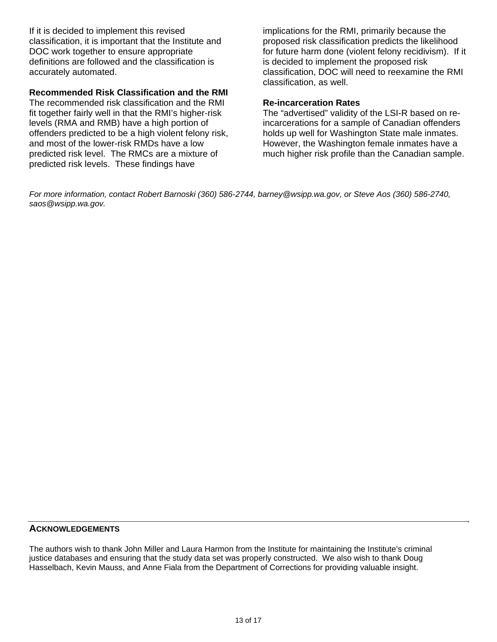If it is decided to implement this revised classification, it is important that the Institute and DOC work together to ensure appropriate definitions are followed and the classification is accurately automated.

#### **Recommended Risk Classification and the RMI**

The recommended risk classification and the RMI fit together fairly well in that the RMI's higher-risk levels (RMA and RMB) have a high portion of offenders predicted to be a high violent felony risk, and most of the lower-risk RMDs have a low predicted risk level. The RMCs are a mixture of predicted risk levels. These findings have

implications for the RMI, primarily because the proposed risk classification predicts the likelihood for future harm done (violent felony recidivism). If it is decided to implement the proposed risk classification, DOC will need to reexamine the RMI classification, as well.

### **Re-incarceration Rates**

The "advertised" validity of the LSI-R based on reincarcerations for a sample of Canadian offenders holds up well for Washington State male inmates. However, the Washington female inmates have a much higher risk profile than the Canadian sample.

*For more information, contact Robert Barnoski (360) 586-2744, barney@wsipp.wa.gov, or Steve Aos (360) 586-2740, saos@wsipp.wa.gov.* 

#### **ACKNOWLEDGEMENTS**

The authors wish to thank John Miller and Laura Harmon from the Institute for maintaining the Institute's criminal justice databases and ensuring that the study data set was properly constructed. We also wish to thank Doug Hasselbach, Kevin Mauss, and Anne Fiala from the Department of Corrections for providing valuable insight.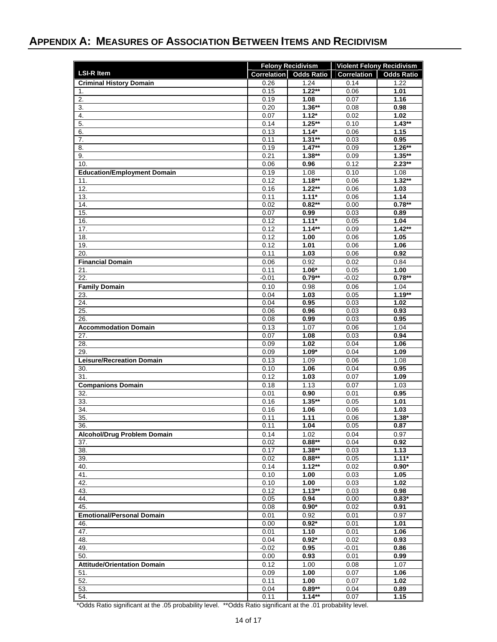# **APPENDIX A: MEASURES OF ASSOCIATION BETWEEN ITEMS AND RECIDIVISM**

|                                    | <b>Felony Recidivism</b> |                     | <b>Violent Felony Recidivism</b> |                   |  |
|------------------------------------|--------------------------|---------------------|----------------------------------|-------------------|--|
| <b>LSI-R Item</b>                  | <b>Correlation</b>       | <b>Odds Ratio</b>   | <b>Correlation</b>               | <b>Odds Ratio</b> |  |
| <b>Criminal History Domain</b>     | 0.26                     | 1.24                | 0.14                             | 1.22              |  |
| 1.                                 | 0.15                     | $1.22**$            | 0.06                             | 1.01              |  |
| 2.                                 | 0.19                     | 1.08                | 0.07                             | 1.16              |  |
| 3.                                 | 0.20                     | $1.36**$            | 0.08                             | 0.98              |  |
| 4.                                 | 0.07                     | $1.12*$             | 0.02                             | 1.02              |  |
| 5.                                 | 0.14                     | $1.25**$            | 0.10                             | $1.43**$          |  |
| 6.<br>7.                           | 0.13<br>0.11             | $1.14*$<br>$1.31**$ | 0.06<br>0.03                     | 1.15<br>0.95      |  |
| 8.                                 | 0.19                     | $1.47**$            | 0.09                             | $1.26***$         |  |
| 9.                                 | 0.21                     | $1.38**$            | 0.09                             | $1.35**$          |  |
| 10.                                | 0.06                     | 0.96                | 0.12                             | $2.23**$          |  |
| <b>Education/Employment Domain</b> | 0.19                     | 1.08                | 0.10                             | 1.08              |  |
| 11.                                | 0.12                     | $1.18***$           | 0.06                             | $1.32**$          |  |
| 12.                                | 0.16                     | $1.22**$            | 0.06                             | 1.03              |  |
| 13.                                | 0.11                     | $1.11*$             | 0.06                             | 1.14              |  |
| 14.                                | 0.02                     | $0.82**$            | 0.00                             | $0.78***$         |  |
| 15.                                | 0.07                     | 0.99                | 0.03                             | 0.89              |  |
| 16.                                | 0.12                     | $1.11*$             | 0.05                             | 1.04              |  |
| 17.                                | 0.12                     | $1.14**$            | 0.09                             | $1.42**$          |  |
| 18.                                | 0.12<br>0.12             | 1.00                | 0.06                             | 1.05              |  |
| 19.<br>20.                         | 0.11                     | 1.01<br>1.03        | 0.06<br>0.06                     | 1.06<br>0.92      |  |
| <b>Financial Domain</b>            | 0.06                     | 0.92                | 0.02                             | 0.84              |  |
| 21.                                | 0.11                     | $1.06*$             | 0.05                             | 1.00              |  |
| 22.                                | $-0.01$                  | $0.79**$            | $-0.02$                          | $0.78**$          |  |
| <b>Family Domain</b>               | 0.10                     | 0.98                | 0.06                             | 1.04              |  |
| 23.                                | 0.04                     | 1.03                | 0.05                             | $1.19**$          |  |
| 24.                                | 0.04                     | 0.95                | 0.03                             | 1.02              |  |
| 25.                                | 0.06                     | 0.96                | 0.03                             | 0.93              |  |
| 26.                                | 0.08                     | 0.99                | 0.03                             | 0.95              |  |
| <b>Accommodation Domain</b>        | 0.13                     | 1.07                | 0.06                             | 1.04              |  |
| 27.                                | 0.07                     | 1.08                | 0.03                             | 0.94              |  |
| 28.                                | 0.09                     | 1.02                | 0.04                             | 1.06              |  |
| 29.                                | 0.09                     | $1.09*$             | 0.04                             | 1.09              |  |
| <b>Leisure/Recreation Domain</b>   | 0.13                     | 1.09                | 0.06                             | 1.08              |  |
| 30.                                | 0.10                     | 1.06                | 0.04                             | 0.95              |  |
| 31.                                | 0.12                     | 1.03                | 0.07                             | 1.09              |  |
| <b>Companions Domain</b>           | 0.18                     | 1.13                | 0.07                             | 1.03              |  |
| 32.<br>33.                         | 0.01<br>0.16             | 0.90<br>$1.35**$    | 0.01<br>0.05                     | 0.95<br>1.01      |  |
| 34.                                | 0.16                     | 1.06                | 0.06                             | 1.03              |  |
| 35.                                | 0.11                     | 1.11                | 0.06                             | $1.38*$           |  |
| 36.                                | 0.11                     | 1.04                | 0.05                             | 0.87              |  |
| <b>Alcohol/Drug Problem Domain</b> | 0.14                     | 1.02                | 0.04                             | 0.97              |  |
| 37.                                | 0.02                     | $0.88**$            | 0.04                             | 0.92              |  |
| 38.                                | 0.17                     | $1.38**$            | 0.03                             | 1.13              |  |
| 39.                                | 0.02                     | $0.88**$            | 0.05                             | $1.11*$           |  |
| 40.                                | 0.14                     | $1.12**$            | 0.02                             | $0.90*$           |  |
| 41.                                | 0.10                     | 1.00                | 0.03                             | 1.05              |  |
| 42.                                | 0.10                     | 1.00                | 0.03                             | 1.02              |  |
| 43.                                | 0.12                     | $1.13***$           | 0.03                             | 0.98              |  |
| 44.<br>45.                         | 0.05<br>0.08             | 0.94<br>$0.90*$     | 0.00<br>0.02                     | $0.83*$<br>0.91   |  |
| <b>Emotional/Personal Domain</b>   |                          |                     |                                  |                   |  |
| 46.                                | 0.01<br>0.00             | 0.92<br>$0.92*$     | 0.01<br>0.01                     | 0.97<br>1.01      |  |
| 47.                                | 0.01                     | 1.10                | 0.01                             | 1.06              |  |
| 48.                                | 0.04                     | $0.92*$             | 0.02                             | 0.93              |  |
| 49.                                | $-0.02$                  | 0.95                | $-0.01$                          | 0.86              |  |
| 50.                                | 0.00                     | 0.93                | 0.01                             | 0.99              |  |
| <b>Attitude/Orientation Domain</b> | 0.12                     | 1.00                | 0.08                             | 1.07              |  |
| 51.                                | 0.09                     | 1.00                | 0.07                             | 1.06              |  |
| 52.                                | 0.11                     | 1.00                | 0.07                             | 1.02              |  |
| 53.                                | 0.04                     | $0.89**$            | 0.04                             | 0.89              |  |
| 54.                                | 0.11                     | $1.14**$            | 0.07                             | 1.15              |  |

\*Odds Ratio significant at the .05 probability level. \*\*Odds Ratio significant at the .01 probability level.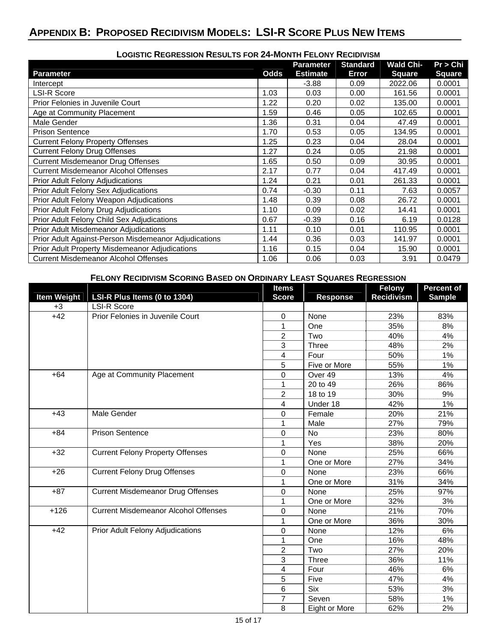# **APPENDIX B: PROPOSED RECIDIVISM MODELS: LSI-R SCORE PLUS NEW ITEMS**

|                                                       | LOGISTIC REGRESSION RESULTS FOR Z4-MONTH FELONY RECIDIVISM |                  |                 |                  |               |  |  |  |
|-------------------------------------------------------|------------------------------------------------------------|------------------|-----------------|------------------|---------------|--|--|--|
|                                                       |                                                            | <b>Parameter</b> | <b>Standard</b> | <b>Wald Chi-</b> | Pr > Chi      |  |  |  |
| <b>Parameter</b>                                      | <b>Odds</b>                                                | <b>Estimate</b>  | Error           | <b>Square</b>    | <b>Square</b> |  |  |  |
| Intercept                                             |                                                            | $-3.88$          | 0.09            | 2022.06          | 0.0001        |  |  |  |
| <b>LSI-R Score</b>                                    | 1.03                                                       | 0.03             | 0.00            | 161.56           | 0.0001        |  |  |  |
| Prior Felonies in Juvenile Court                      | 1.22                                                       | 0.20             | 0.02            | 135.00           | 0.0001        |  |  |  |
| Age at Community Placement                            | 1.59                                                       | 0.46             | 0.05            | 102.65           | 0.0001        |  |  |  |
| Male Gender                                           | 1.36                                                       | 0.31             | 0.04            | 47.49            | 0.0001        |  |  |  |
| <b>Prison Sentence</b>                                | 1.70                                                       | 0.53             | 0.05            | 134.95           | 0.0001        |  |  |  |
| <b>Current Felony Property Offenses</b>               | 1.25                                                       | 0.23             | 0.04            | 28.04            | 0.0001        |  |  |  |
| <b>Current Felony Drug Offenses</b>                   | 1.27                                                       | 0.24             | 0.05            | 21.98            | 0.0001        |  |  |  |
| <b>Current Misdemeanor Drug Offenses</b>              | 1.65                                                       | 0.50             | 0.09            | 30.95            | 0.0001        |  |  |  |
| <b>Current Misdemeanor Alcohol Offenses</b>           | 2.17                                                       | 0.77             | 0.04            | 417.49           | 0.0001        |  |  |  |
| <b>Prior Adult Felony Adjudications</b>               | 1.24                                                       | 0.21             | 0.01            | 261.33           | 0.0001        |  |  |  |
| <b>Prior Adult Felony Sex Adjudications</b>           | 0.74                                                       | $-0.30$          | 0.11            | 7.63             | 0.0057        |  |  |  |
| Prior Adult Felony Weapon Adjudications               | 1.48                                                       | 0.39             | 0.08            | 26.72            | 0.0001        |  |  |  |
| Prior Adult Felony Drug Adjudications                 | 1.10                                                       | 0.09             | 0.02            | 14.41            | 0.0001        |  |  |  |
| Prior Adult Felony Child Sex Adjudications            | 0.67                                                       | $-0.39$          | 0.16            | 6.19             | 0.0128        |  |  |  |
| <b>Prior Adult Misdemeanor Adjudications</b>          | 1.11                                                       | 0.10             | 0.01            | 110.95           | 0.0001        |  |  |  |
| Prior Adult Against-Person Misdemeanor Adjudications  | 1.44                                                       | 0.36             | 0.03            | 141.97           | 0.0001        |  |  |  |
| <b>Prior Adult Property Misdemeanor Adjudications</b> | 1.16                                                       | 0.15             | 0.04            | 15.90            | 0.0001        |  |  |  |
| <b>Current Misdemeanor Alcohol Offenses</b>           | 1.06                                                       | 0.06             | 0.03            | 3.91             | 0.0479        |  |  |  |

# **LOGISTIC REGRESSION RESULTS FOR 24-MONTH FELONY RECIDIVISM**

#### **FELONY RECIDIVISM SCORING BASED ON ORDINARY LEAST SQUARES REGRESSION**

|                    |                                             | <b>Items</b>            |                 | Felony            | <b>Percent of</b> |
|--------------------|---------------------------------------------|-------------------------|-----------------|-------------------|-------------------|
| <b>Item Weight</b> | LSI-R Plus Items (0 to 1304)                | <b>Score</b>            | <b>Response</b> | <b>Recidivism</b> | <b>Sample</b>     |
| $+3$               | <b>LSI-R Score</b>                          |                         |                 |                   |                   |
| $+42$              | Prior Felonies in Juvenile Court            | 0                       | None            | 23%               | 83%               |
|                    |                                             | 1                       | One             | 35%               | 8%                |
|                    |                                             | $\overline{c}$          | Two             | 40%               | 4%                |
|                    |                                             | 3                       | Three           | 48%               | 2%                |
|                    |                                             | 4                       | Four            | 50%               | 1%                |
|                    |                                             | 5                       | Five or More    | 55%               | 1%                |
| $+64$              | Age at Community Placement                  | 0                       | Over 49         | 13%               | 4%                |
|                    |                                             | 1                       | 20 to 49        | 26%               | 86%               |
|                    |                                             | $\overline{c}$          | 18 to 19        | 30%               | 9%                |
|                    |                                             | 4                       | Under 18        | 42%               | 1%                |
| $+43$              | Male Gender                                 | $\Omega$                | Female          | 20%               | 21%               |
|                    |                                             | 1                       | Male            | 27%               | 79%               |
| $+84$              | <b>Prison Sentence</b>                      | $\mathbf 0$             | No              | 23%               | 80%               |
|                    |                                             | 1                       | Yes             | 38%               | 20%               |
| $+32$              | <b>Current Felony Property Offenses</b>     | 0                       | None            | 25%               | 66%               |
|                    |                                             | 1                       | One or More     | 27%               | 34%               |
| $+26$              | <b>Current Felony Drug Offenses</b>         | $\mathbf 0$             | None            | 23%               | 66%               |
|                    |                                             | 1                       | One or More     | 31%               | 34%               |
| $+87$              | <b>Current Misdemeanor Drug Offenses</b>    | $\Omega$                | None            | 25%               | 97%               |
|                    |                                             | 1                       | One or More     | 32%               | 3%                |
| $+126$             | <b>Current Misdemeanor Alcohol Offenses</b> | 0                       | None            | 21%               | 70%               |
|                    |                                             | 1                       | One or More     | 36%               | 30%               |
| $+42$              | Prior Adult Felony Adjudications            | 0                       | None            | 12%               | 6%                |
|                    |                                             | 1                       | One             | 16%               | 48%               |
|                    |                                             | $\overline{2}$          | Two             | 27%               | 20%               |
|                    |                                             | 3                       | Three           | 36%               | 11%               |
|                    |                                             | $\overline{\mathbf{4}}$ | Four            | 46%               | 6%                |
|                    |                                             | 5                       | Five            | 47%               | 4%                |
|                    |                                             | 6                       | <b>Six</b>      | 53%               | 3%                |
|                    |                                             | $\overline{7}$          | Seven           | 58%               | 1%                |
|                    |                                             | 8                       | Eight or More   | 62%               | 2%                |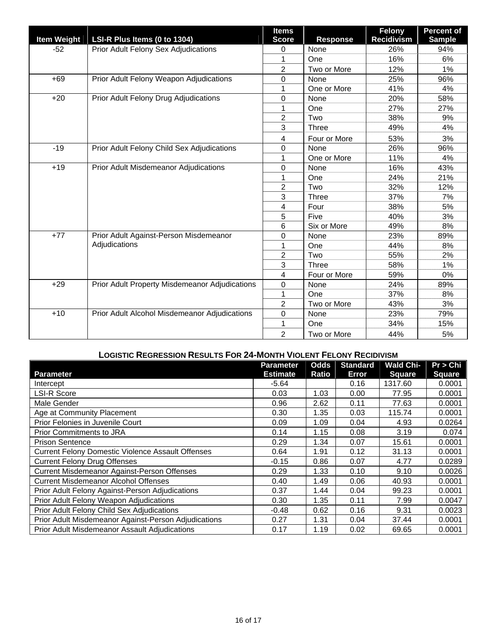| <b>Item Weight</b> | LSI-R Plus Items (0 to 1304)                   | <b>Items</b><br><b>Score</b> | <b>Response</b> | <b>Felony</b><br><b>Recidivism</b> | <b>Percent of</b><br><b>Sample</b> |
|--------------------|------------------------------------------------|------------------------------|-----------------|------------------------------------|------------------------------------|
| $-52$              | Prior Adult Felony Sex Adjudications           | 0                            | None            | 26%                                | 94%                                |
|                    |                                                | 1                            | One             | 16%                                | 6%                                 |
|                    |                                                | 2                            | Two or More     | 12%                                | 1%                                 |
| $+69$              | Prior Adult Felony Weapon Adjudications        | $\mathbf 0$                  | None            | 25%                                | 96%                                |
|                    |                                                | 1                            | One or More     | 41%                                | 4%                                 |
| $+20$              | Prior Adult Felony Drug Adjudications          | 0                            | None            | 20%                                | 58%                                |
|                    |                                                | 1                            | One             | 27%                                | 27%                                |
|                    |                                                | $\overline{2}$               | Two             | 38%                                | 9%                                 |
|                    |                                                | 3                            | <b>Three</b>    | 49%                                | 4%                                 |
|                    |                                                | 4                            | Four or More    | 53%                                | 3%                                 |
| $-19$              | Prior Adult Felony Child Sex Adjudications     | 0                            | None            | 26%                                | 96%                                |
|                    |                                                | 1                            | One or More     | 11%                                | 4%                                 |
| $+19$              | Prior Adult Misdemeanor Adjudications          | 0                            | None            | 16%                                | 43%                                |
|                    |                                                | 1                            | One             | 24%                                | 21%                                |
|                    |                                                | $\overline{2}$               | Two             | 32%                                | 12%                                |
|                    |                                                | 3                            | <b>Three</b>    | 37%                                | 7%                                 |
|                    |                                                | 4                            | Four            | 38%                                | 5%                                 |
|                    |                                                | 5                            | Five            | 40%                                | 3%                                 |
|                    |                                                | 6                            | Six or More     | 49%                                | 8%                                 |
| $+77$              | Prior Adult Against-Person Misdemeanor         | 0                            | None            | 23%                                | 89%                                |
|                    | Adjudications                                  | 1                            | One             | 44%                                | 8%                                 |
|                    |                                                | $\overline{2}$               | Two             | 55%                                | 2%                                 |
|                    |                                                | 3                            | Three           | 58%                                | 1%                                 |
|                    |                                                | 4                            | Four or More    | 59%                                | 0%                                 |
| $+29$              | Prior Adult Property Misdemeanor Adjudications | 0                            | None            | 24%                                | 89%                                |
|                    |                                                | 1                            | One             | 37%                                | 8%                                 |
|                    |                                                | $\overline{c}$               | Two or More     | 43%                                | 3%                                 |
| $+10$              | Prior Adult Alcohol Misdemeanor Adjudications  | 0                            | None            | 23%                                | 79%                                |
|                    |                                                | 1                            | One             | 34%                                | 15%                                |
|                    |                                                | $\overline{2}$               | Two or More     | 44%                                | 5%                                 |

## **LOGISTIC REGRESSION RESULTS FOR 24-MONTH VIOLENT FELONY RECIDIVISM**

| <b>Parameter</b>                                         | Parameter<br><b>Estimate</b> | <b>Odds</b><br>Ratio | <b>Standard</b><br>Error | <b>Wald Chi-</b><br><b>Square</b> | Pr > Chi<br><b>Square</b> |
|----------------------------------------------------------|------------------------------|----------------------|--------------------------|-----------------------------------|---------------------------|
| Intercept                                                | $-5.64$                      |                      | 0.16                     | 1317.60                           | 0.0001                    |
| <b>LSI-R Score</b>                                       | 0.03                         | 1.03                 | 0.00                     | 77.95                             | 0.0001                    |
| Male Gender                                              | 0.96                         | 2.62                 | 0.11                     | 77.63                             | 0.0001                    |
| Age at Community Placement                               | 0.30                         | 1.35                 | 0.03                     | 115.74                            | 0.0001                    |
| Prior Felonies in Juvenile Court                         | 0.09                         | 1.09                 | 0.04                     | 4.93                              | 0.0264                    |
| <b>Prior Commitments to JRA</b>                          | 0.14                         | 1.15                 | 0.08                     | 3.19                              | 0.074                     |
| <b>Prison Sentence</b>                                   | 0.29                         | 1.34                 | 0.07                     | 15.61                             | 0.0001                    |
| <b>Current Felony Domestic Violence Assault Offenses</b> | 0.64                         | 1.91                 | 0.12                     | 31.13                             | 0.0001                    |
| <b>Current Felony Drug Offenses</b>                      | $-0.15$                      | 0.86                 | 0.07                     | 4.77                              | 0.0289                    |
| Current Misdemeanor Against-Person Offenses              | 0.29                         | 1.33                 | 0.10                     | 9.10                              | 0.0026                    |
| <b>Current Misdemeanor Alcohol Offenses</b>              | 0.40                         | 1.49                 | 0.06                     | 40.93                             | 0.0001                    |
| Prior Adult Felony Against-Person Adjudications          | 0.37                         | 1.44                 | 0.04                     | 99.23                             | 0.0001                    |
| Prior Adult Felony Weapon Adjudications                  | 0.30                         | 1.35                 | 0.11                     | 7.99                              | 0.0047                    |
| Prior Adult Felony Child Sex Adjudications               | $-0.48$                      | 0.62                 | 0.16                     | 9.31                              | 0.0023                    |
| Prior Adult Misdemeanor Against-Person Adjudications     | 0.27                         | 1.31                 | 0.04                     | 37.44                             | 0.0001                    |
| Prior Adult Misdemeanor Assault Adjudications            | 0.17                         | 1.19                 | 0.02                     | 69.65                             | 0.0001                    |